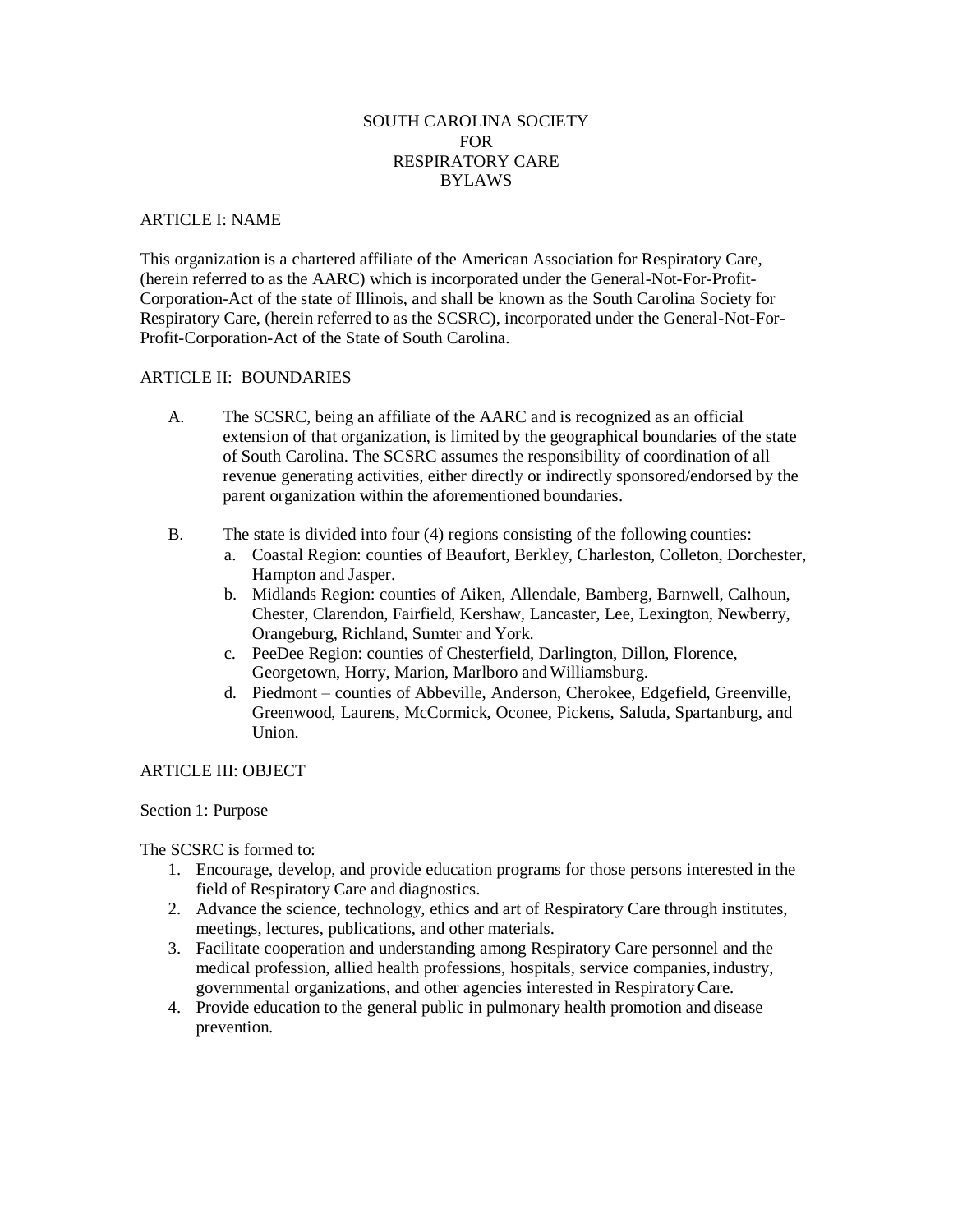# SOUTH CAROLINA SOCIETY **FOR** RESPIRATORY CARE BYLAWS

### ARTICLE I: NAME

This organization is a chartered affiliate of the American Association for Respiratory Care, (herein referred to as the AARC) which is incorporated under the General-Not-For-Profit-Corporation-Act of the state of Illinois, and shall be known as the South Carolina Society for Respiratory Care, (herein referred to as the SCSRC), incorporated under the General-Not-For-Profit-Corporation-Act of the State of South Carolina.

# ARTICLE II: BOUNDARIES

- A. The SCSRC, being an affiliate of the AARC and is recognized as an official extension of that organization, is limited by the geographical boundaries of the state of South Carolina. The SCSRC assumes the responsibility of coordination of all revenue generating activities, either directly or indirectly sponsored/endorsed by the parent organization within the aforementioned boundaries.
- B. The state is divided into four (4) regions consisting of the following counties:
	- a. Coastal Region: counties of Beaufort, Berkley, Charleston, Colleton, Dorchester, Hampton and Jasper.
	- b. Midlands Region: counties of Aiken, Allendale, Bamberg, Barnwell, Calhoun, Chester, Clarendon, Fairfield, Kershaw, Lancaster, Lee, Lexington, Newberry, Orangeburg, Richland, Sumter and York.
	- c. PeeDee Region: counties of Chesterfield, Darlington, Dillon, Florence, Georgetown, Horry, Marion, Marlboro and Williamsburg.
	- d. Piedmont counties of Abbeville, Anderson, Cherokee, Edgefield, Greenville, Greenwood, Laurens, McCormick, Oconee, Pickens, Saluda, Spartanburg, and Union.

# ARTICLE III: OBJECT

# Section 1: Purpose

The SCSRC is formed to:

- 1. Encourage, develop, and provide education programs for those persons interested in the field of Respiratory Care and diagnostics.
- 2. Advance the science, technology, ethics and art of Respiratory Care through institutes, meetings, lectures, publications, and other materials.
- 3. Facilitate cooperation and understanding among Respiratory Care personnel and the medical profession, allied health professions, hospitals, service companies, industry, governmental organizations, and other agencies interested in RespiratoryCare.
- 4. Provide education to the general public in pulmonary health promotion and disease prevention.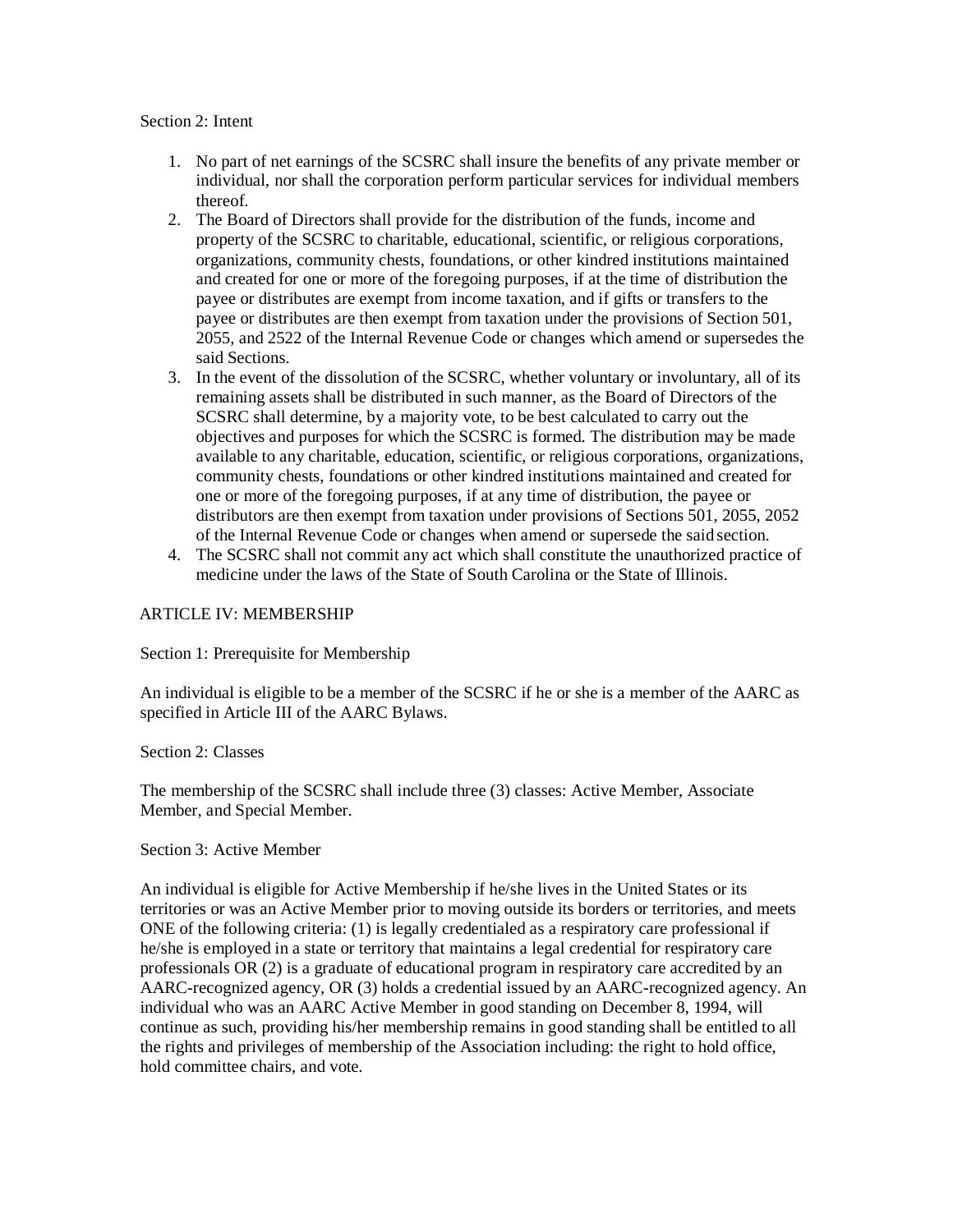#### Section 2: Intent

- 1. No part of net earnings of the SCSRC shall insure the benefits of any private member or individual, nor shall the corporation perform particular services for individual members thereof.
- 2. The Board of Directors shall provide for the distribution of the funds, income and property of the SCSRC to charitable, educational, scientific, or religious corporations, organizations, community chests, foundations, or other kindred institutions maintained and created for one or more of the foregoing purposes, if at the time of distribution the payee or distributes are exempt from income taxation, and if gifts or transfers to the payee or distributes are then exempt from taxation under the provisions of Section 501, 2055, and 2522 of the Internal Revenue Code or changes which amend or supersedes the said Sections.
- 3. In the event of the dissolution of the SCSRC, whether voluntary or involuntary, all of its remaining assets shall be distributed in such manner, as the Board of Directors of the SCSRC shall determine, by a majority vote, to be best calculated to carry out the objectives and purposes for which the SCSRC is formed. The distribution may be made available to any charitable, education, scientific, or religious corporations, organizations, community chests, foundations or other kindred institutions maintained and created for one or more of the foregoing purposes, if at any time of distribution, the payee or distributors are then exempt from taxation under provisions of Sections 501, 2055, 2052 of the Internal Revenue Code or changes when amend or supersede the said section.
- 4. The SCSRC shall not commit any act which shall constitute the unauthorized practice of medicine under the laws of the State of South Carolina or the State of Illinois.

### ARTICLE IV: MEMBERSHIP

Section 1: Prerequisite for Membership

An individual is eligible to be a member of the SCSRC if he or she is a member of the AARC as specified in Article III of the AARC Bylaws.

Section 2: Classes

The membership of the SCSRC shall include three (3) classes: Active Member, Associate Member, and Special Member.

#### Section 3: Active Member

An individual is eligible for Active Membership if he/she lives in the United States or its territories or was an Active Member prior to moving outside its borders or territories, and meets ONE of the following criteria: (1) is legally credentialed as a respiratory care professional if he/she is employed in a state or territory that maintains a legal credential for respiratory care professionals OR (2) is a graduate of educational program in respiratory care accredited by an AARC-recognized agency, OR (3) holds a credential issued by an AARC-recognized agency. An individual who was an AARC Active Member in good standing on December 8, 1994, will continue as such, providing his/her membership remains in good standing shall be entitled to all the rights and privileges of membership of the Association including: the right to hold office, hold committee chairs, and vote.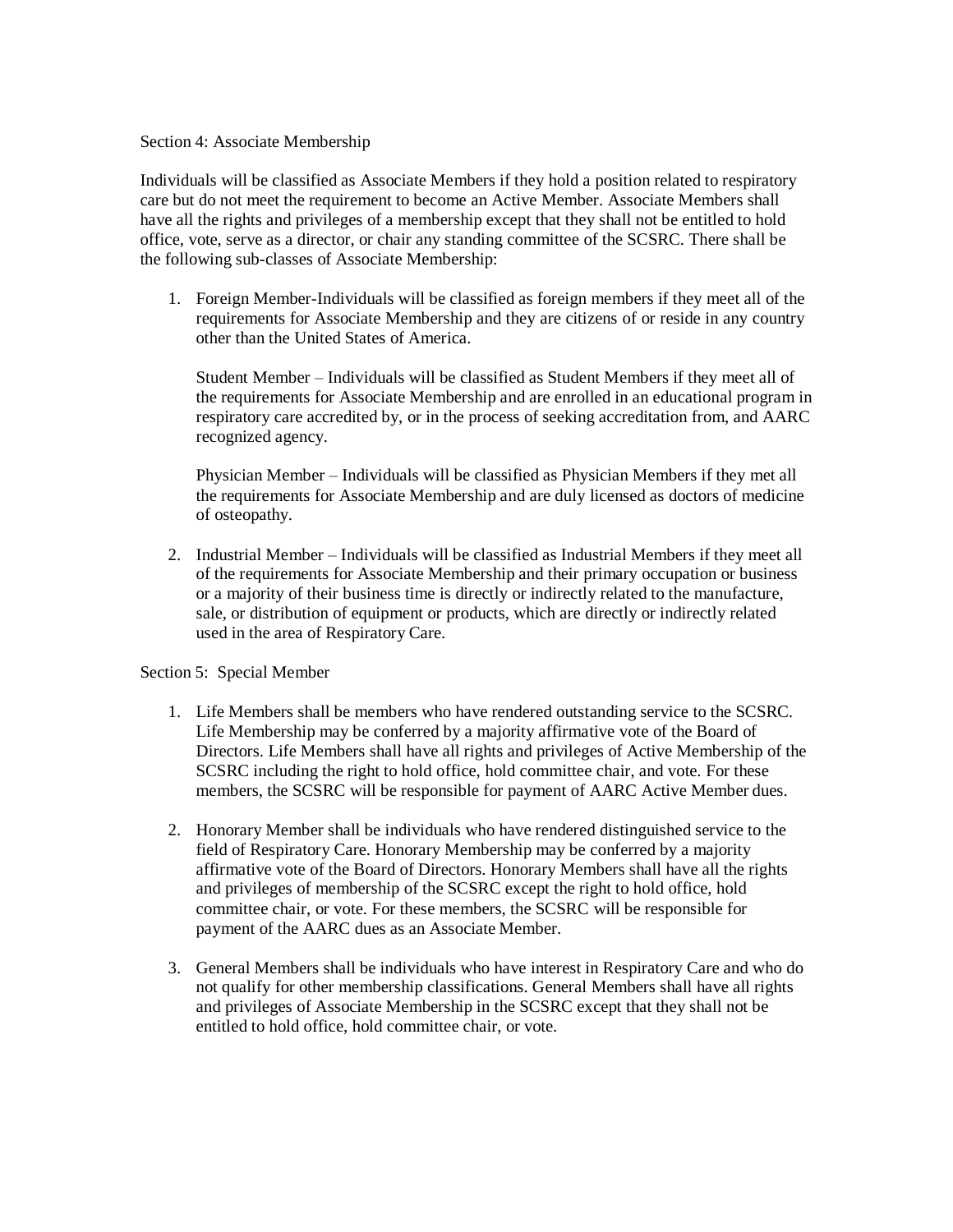### Section 4: Associate Membership

Individuals will be classified as Associate Members if they hold a position related to respiratory care but do not meet the requirement to become an Active Member. Associate Members shall have all the rights and privileges of a membership except that they shall not be entitled to hold office, vote, serve as a director, or chair any standing committee of the SCSRC. There shall be the following sub-classes of Associate Membership:

1. Foreign Member-Individuals will be classified as foreign members if they meet all of the requirements for Associate Membership and they are citizens of or reside in any country other than the United States of America.

Student Member – Individuals will be classified as Student Members if they meet all of the requirements for Associate Membership and are enrolled in an educational program in respiratory care accredited by, or in the process of seeking accreditation from, and AARC recognized agency.

Physician Member – Individuals will be classified as Physician Members if they met all the requirements for Associate Membership and are duly licensed as doctors of medicine of osteopathy.

2. Industrial Member – Individuals will be classified as Industrial Members if they meet all of the requirements for Associate Membership and their primary occupation or business or a majority of their business time is directly or indirectly related to the manufacture, sale, or distribution of equipment or products, which are directly or indirectly related used in the area of Respiratory Care.

# Section 5: Special Member

- 1. Life Members shall be members who have rendered outstanding service to the SCSRC. Life Membership may be conferred by a majority affirmative vote of the Board of Directors. Life Members shall have all rights and privileges of Active Membership of the SCSRC including the right to hold office, hold committee chair, and vote. For these members, the SCSRC will be responsible for payment of AARC Active Member dues.
- 2. Honorary Member shall be individuals who have rendered distinguished service to the field of Respiratory Care. Honorary Membership may be conferred by a majority affirmative vote of the Board of Directors. Honorary Members shall have all the rights and privileges of membership of the SCSRC except the right to hold office, hold committee chair, or vote. For these members, the SCSRC will be responsible for payment of the AARC dues as an Associate Member.
- 3. General Members shall be individuals who have interest in Respiratory Care and who do not qualify for other membership classifications. General Members shall have all rights and privileges of Associate Membership in the SCSRC except that they shall not be entitled to hold office, hold committee chair, or vote.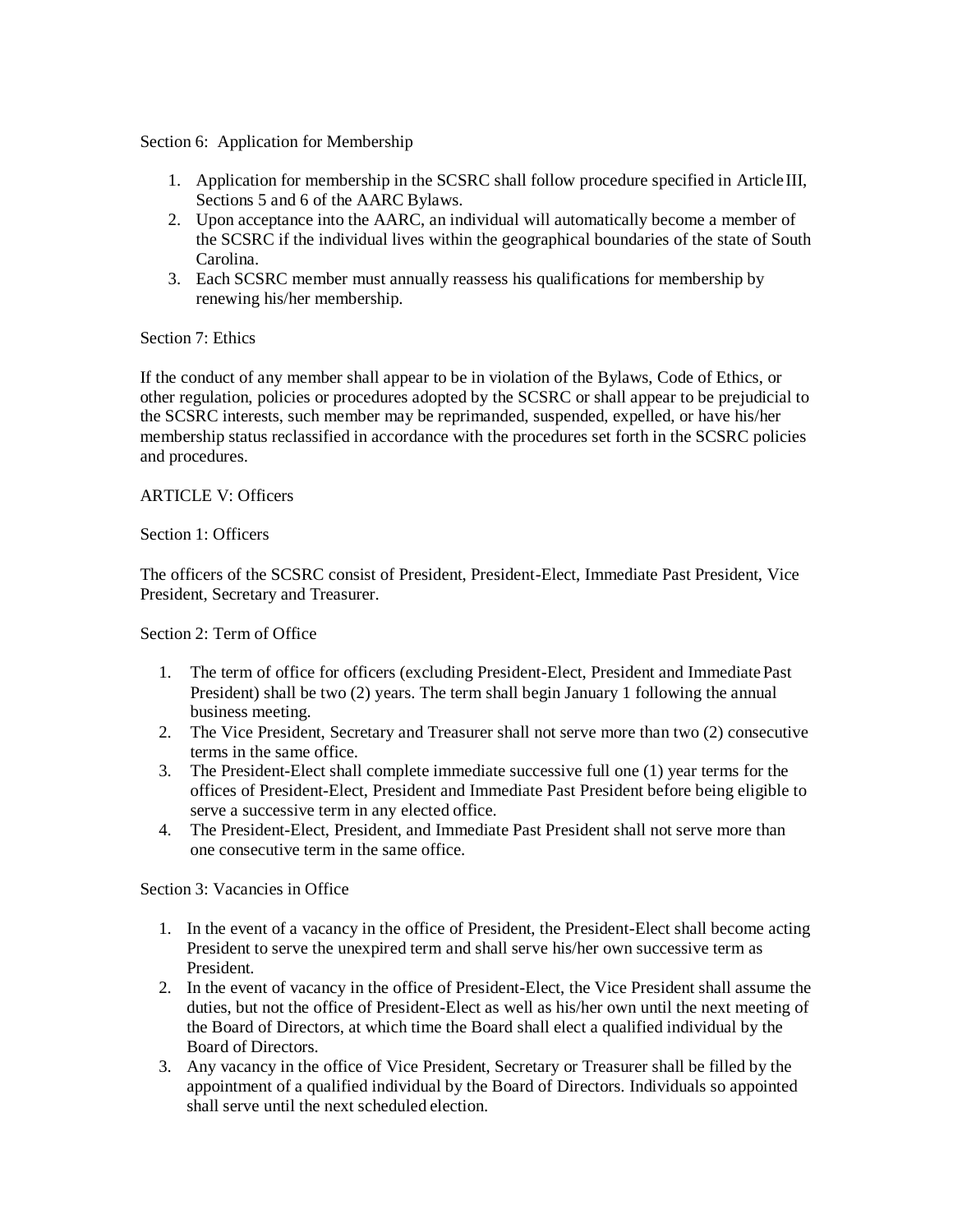# Section 6: Application for Membership

- 1. Application for membership in the SCSRC shall follow procedure specified in ArticleIII, Sections 5 and 6 of the AARC Bylaws.
- 2. Upon acceptance into the AARC, an individual will automatically become a member of the SCSRC if the individual lives within the geographical boundaries of the state of South Carolina.
- 3. Each SCSRC member must annually reassess his qualifications for membership by renewing his/her membership.

# Section 7: Ethics

If the conduct of any member shall appear to be in violation of the Bylaws, Code of Ethics, or other regulation, policies or procedures adopted by the SCSRC or shall appear to be prejudicial to the SCSRC interests, such member may be reprimanded, suspended, expelled, or have his/her membership status reclassified in accordance with the procedures set forth in the SCSRC policies and procedures.

### ARTICLE V: Officers

### Section 1: Officers

The officers of the SCSRC consist of President, President-Elect, Immediate Past President, Vice President, Secretary and Treasurer.

#### Section 2: Term of Office

- 1. The term of office for officers (excluding President-Elect, President and Immediate Past President) shall be two (2) years. The term shall begin January 1 following the annual business meeting.
- 2. The Vice President, Secretary and Treasurer shall not serve more than two (2) consecutive terms in the same office.
- 3. The President-Elect shall complete immediate successive full one (1) year terms for the offices of President-Elect, President and Immediate Past President before being eligible to serve a successive term in any elected office.
- 4. The President-Elect, President, and Immediate Past President shall not serve more than one consecutive term in the same office.

Section 3: Vacancies in Office

- 1. In the event of a vacancy in the office of President, the President-Elect shall become acting President to serve the unexpired term and shall serve his/her own successive term as President.
- 2. In the event of vacancy in the office of President-Elect, the Vice President shall assume the duties, but not the office of President-Elect as well as his/her own until the next meeting of the Board of Directors, at which time the Board shall elect a qualified individual by the Board of Directors.
- 3. Any vacancy in the office of Vice President, Secretary or Treasurer shall be filled by the appointment of a qualified individual by the Board of Directors. Individuals so appointed shall serve until the next scheduled election.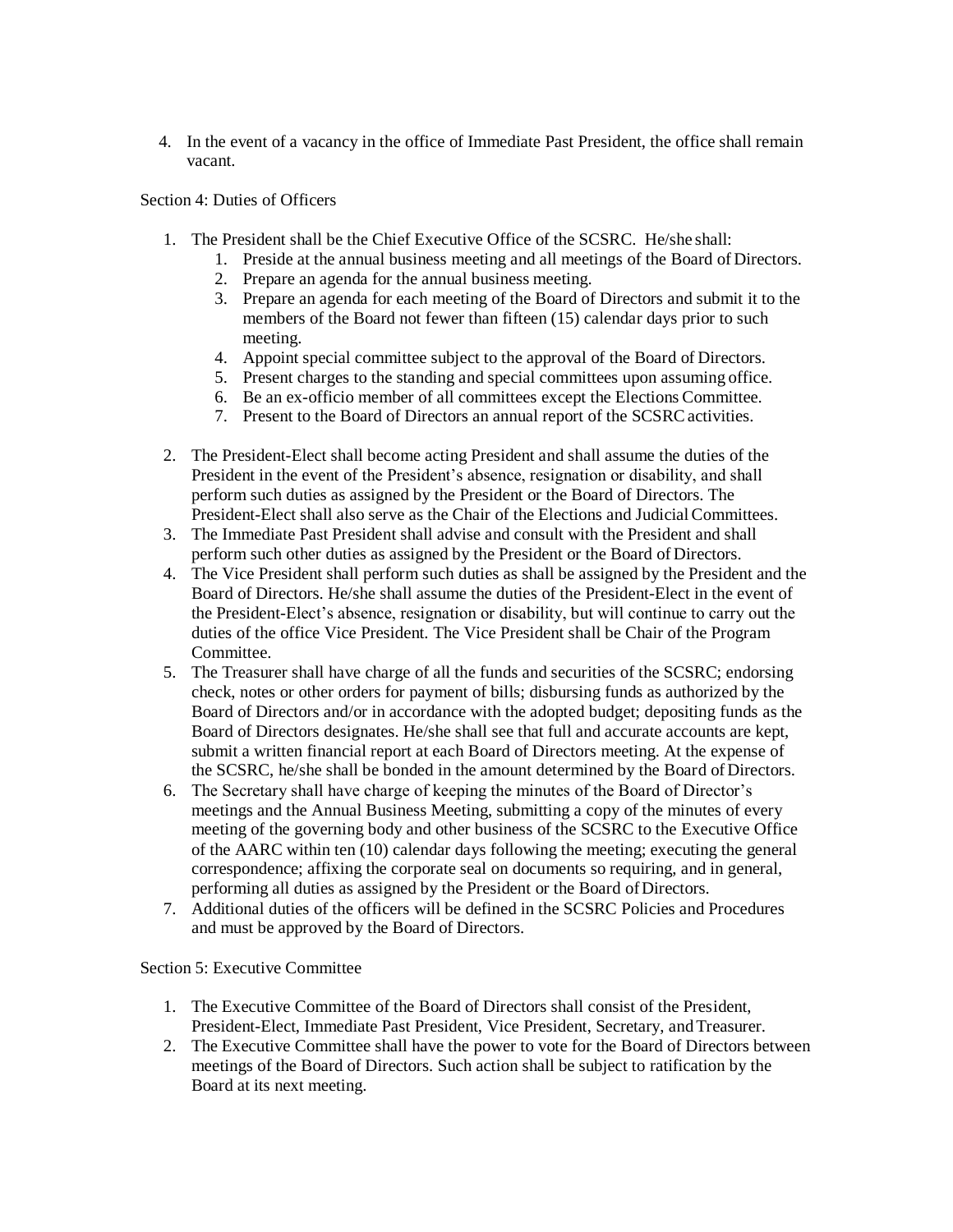4. In the event of a vacancy in the office of Immediate Past President, the office shall remain vacant.

Section 4: Duties of Officers

- 1. The President shall be the Chief Executive Office of the SCSRC. He/she shall:
	- 1. Preside at the annual business meeting and all meetings of the Board of Directors.
	- 2. Prepare an agenda for the annual business meeting.
	- 3. Prepare an agenda for each meeting of the Board of Directors and submit it to the members of the Board not fewer than fifteen (15) calendar days prior to such meeting.
	- 4. Appoint special committee subject to the approval of the Board of Directors.
	- 5. Present charges to the standing and special committees upon assuming office.
	- 6. Be an ex-officio member of all committees except the Elections Committee.
	- 7. Present to the Board of Directors an annual report of the SCSRC activities.
- 2. The President-Elect shall become acting President and shall assume the duties of the President in the event of the President's absence, resignation or disability, and shall perform such duties as assigned by the President or the Board of Directors. The President-Elect shall also serve as the Chair of the Elections and JudicialCommittees.
- 3. The Immediate Past President shall advise and consult with the President and shall perform such other duties as assigned by the President or the Board of Directors.
- 4. The Vice President shall perform such duties as shall be assigned by the President and the Board of Directors. He/she shall assume the duties of the President-Elect in the event of the President-Elect's absence, resignation or disability, but will continue to carry out the duties of the office Vice President. The Vice President shall be Chair of the Program Committee.
- 5. The Treasurer shall have charge of all the funds and securities of the SCSRC; endorsing check, notes or other orders for payment of bills; disbursing funds as authorized by the Board of Directors and/or in accordance with the adopted budget; depositing funds as the Board of Directors designates. He/she shall see that full and accurate accounts are kept, submit a written financial report at each Board of Directors meeting. At the expense of the SCSRC, he/she shall be bonded in the amount determined by the Board of Directors.
- 6. The Secretary shall have charge of keeping the minutes of the Board of Director's meetings and the Annual Business Meeting, submitting a copy of the minutes of every meeting of the governing body and other business of the SCSRC to the Executive Office of the AARC within ten (10) calendar days following the meeting; executing the general correspondence; affixing the corporate seal on documents so requiring, and in general, performing all duties as assigned by the President or the Board ofDirectors.
- 7. Additional duties of the officers will be defined in the SCSRC Policies and Procedures and must be approved by the Board of Directors.

# Section 5: Executive Committee

- 1. The Executive Committee of the Board of Directors shall consist of the President, President-Elect, Immediate Past President, Vice President, Secretary, and Treasurer.
- 2. The Executive Committee shall have the power to vote for the Board of Directors between meetings of the Board of Directors. Such action shall be subject to ratification by the Board at its next meeting.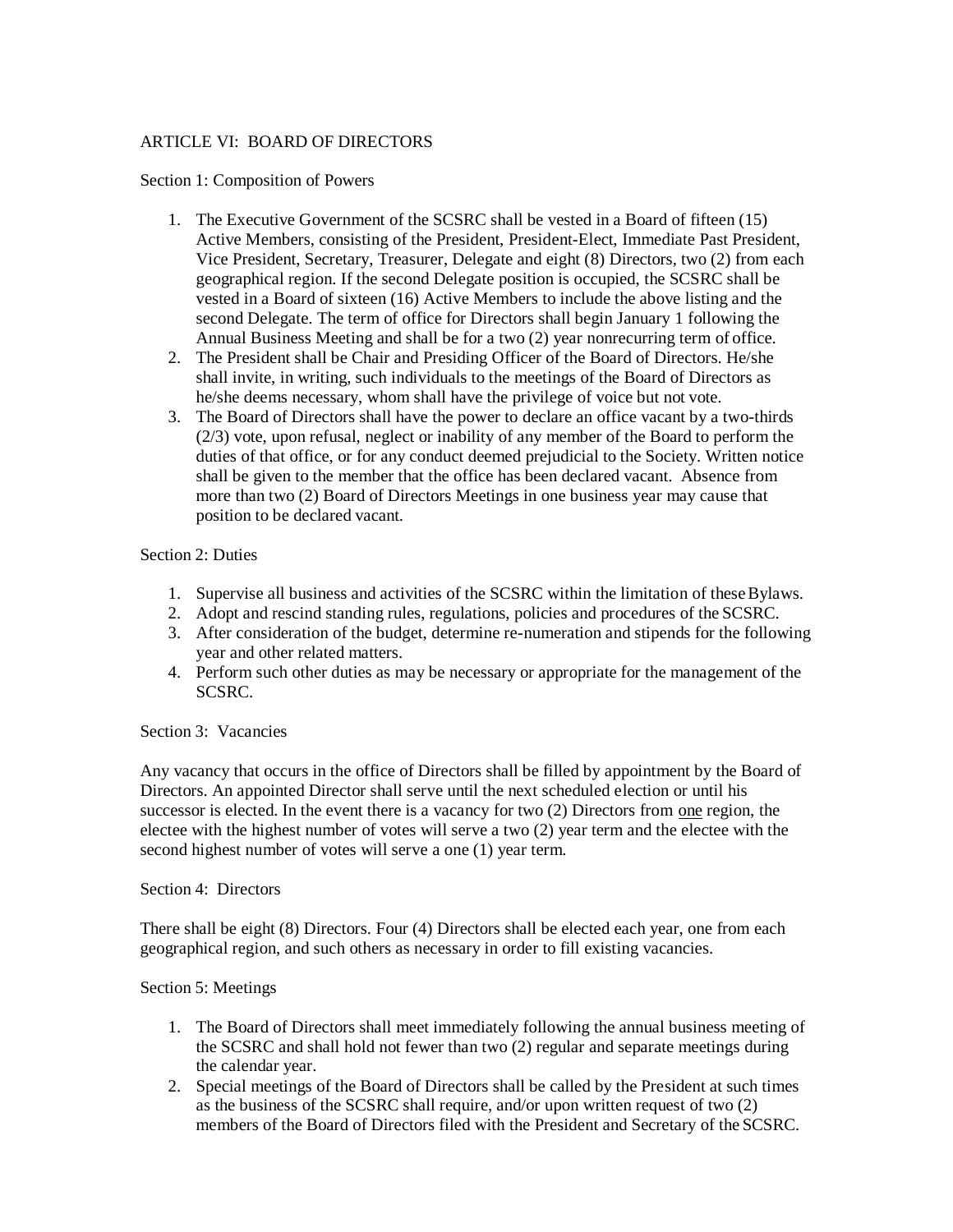# ARTICLE VI: BOARD OF DIRECTORS

### Section 1: Composition of Powers

- 1. The Executive Government of the SCSRC shall be vested in a Board of fifteen (15) Active Members, consisting of the President, President-Elect, Immediate Past President, Vice President, Secretary, Treasurer, Delegate and eight (8) Directors, two (2) from each geographical region. If the second Delegate position is occupied, the SCSRC shall be vested in a Board of sixteen (16) Active Members to include the above listing and the second Delegate. The term of office for Directors shall begin January 1 following the Annual Business Meeting and shall be for a two (2) year nonrecurring term of office.
- 2. The President shall be Chair and Presiding Officer of the Board of Directors. He/she shall invite, in writing, such individuals to the meetings of the Board of Directors as he/she deems necessary, whom shall have the privilege of voice but not vote.
- 3. The Board of Directors shall have the power to declare an office vacant by a two-thirds (2/3) vote, upon refusal, neglect or inability of any member of the Board to perform the duties of that office, or for any conduct deemed prejudicial to the Society. Written notice shall be given to the member that the office has been declared vacant. Absence from more than two (2) Board of Directors Meetings in one business year may cause that position to be declared vacant.

### Section 2: Duties

- 1. Supervise all business and activities of the SCSRC within the limitation of theseBylaws.
- 2. Adopt and rescind standing rules, regulations, policies and procedures of the SCSRC.
- 3. After consideration of the budget, determine re-numeration and stipends for the following year and other related matters.
- 4. Perform such other duties as may be necessary or appropriate for the management of the SCSRC.

# Section 3: Vacancies

Any vacancy that occurs in the office of Directors shall be filled by appointment by the Board of Directors. An appointed Director shall serve until the next scheduled election or until his successor is elected. In the event there is a vacancy for two (2) Directors from one region, the electee with the highest number of votes will serve a two (2) year term and the electee with the second highest number of votes will serve a one (1) year term.

#### Section 4: Directors

There shall be eight (8) Directors. Four (4) Directors shall be elected each year, one from each geographical region, and such others as necessary in order to fill existing vacancies.

# Section 5: Meetings

- 1. The Board of Directors shall meet immediately following the annual business meeting of the SCSRC and shall hold not fewer than two (2) regular and separate meetings during the calendar year.
- 2. Special meetings of the Board of Directors shall be called by the President at such times as the business of the SCSRC shall require, and/or upon written request of two (2) members of the Board of Directors filed with the President and Secretary of the SCSRC.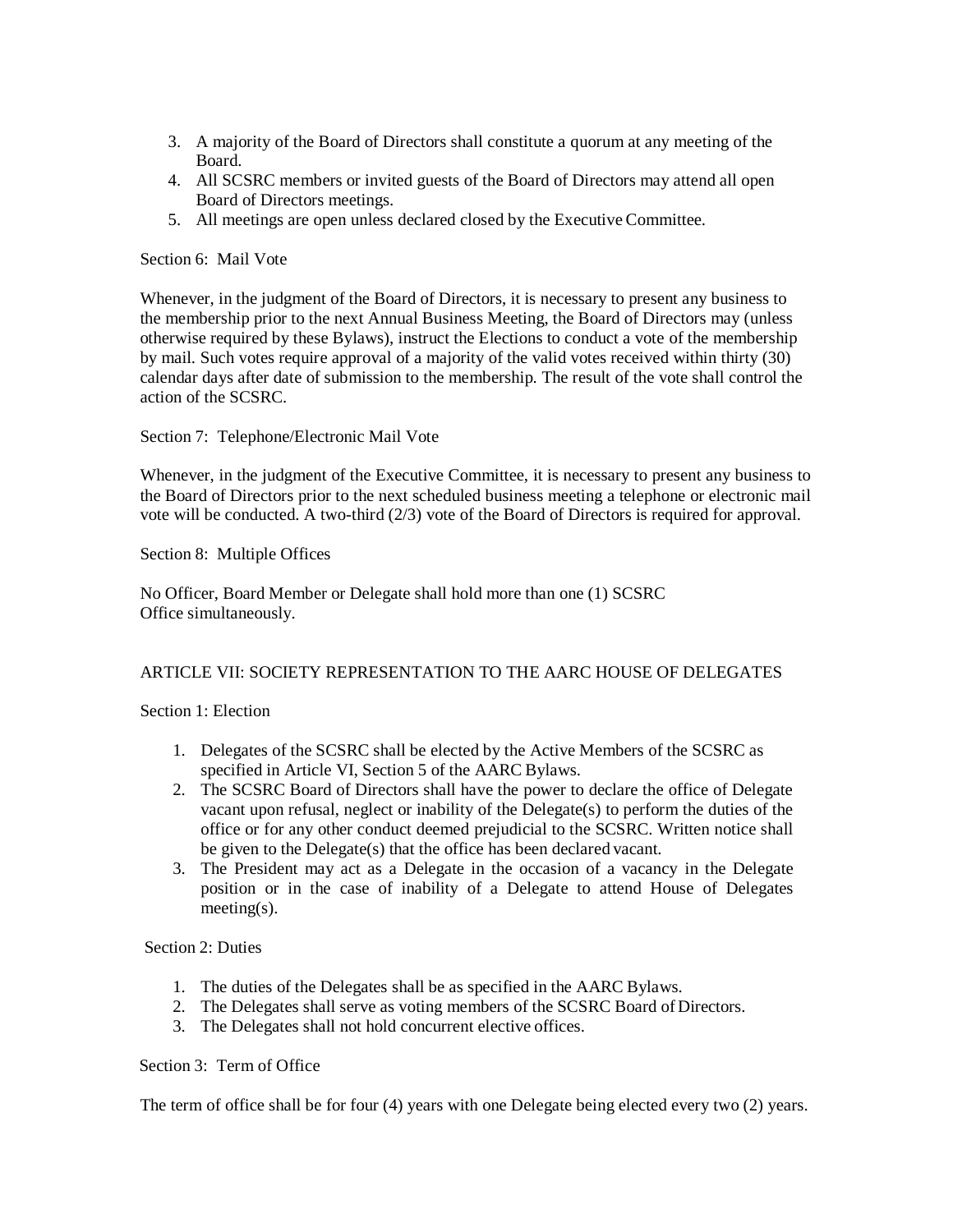- 3. A majority of the Board of Directors shall constitute a quorum at any meeting of the Board.
- 4. All SCSRC members or invited guests of the Board of Directors may attend all open Board of Directors meetings.
- 5. All meetings are open unless declared closed by the Executive Committee.

### Section 6: Mail Vote

Whenever, in the judgment of the Board of Directors, it is necessary to present any business to the membership prior to the next Annual Business Meeting, the Board of Directors may (unless otherwise required by these Bylaws), instruct the Elections to conduct a vote of the membership by mail. Such votes require approval of a majority of the valid votes received within thirty (30) calendar days after date of submission to the membership. The result of the vote shall control the action of the SCSRC.

Section 7: Telephone/Electronic Mail Vote

Whenever, in the judgment of the Executive Committee, it is necessary to present any business to the Board of Directors prior to the next scheduled business meeting a telephone or electronic mail vote will be conducted. A two-third (2/3) vote of the Board of Directors is required for approval.

Section 8: Multiple Offices

No Officer, Board Member or Delegate shall hold more than one (1) SCSRC Office simultaneously.

# ARTICLE VII: SOCIETY REPRESENTATION TO THE AARC HOUSE OF DELEGATES

Section 1: Election

- 1. Delegates of the SCSRC shall be elected by the Active Members of the SCSRC as specified in Article VI, Section 5 of the AARC Bylaws.
- 2. The SCSRC Board of Directors shall have the power to declare the office of Delegate vacant upon refusal, neglect or inability of the Delegate(s) to perform the duties of the office or for any other conduct deemed prejudicial to the SCSRC. Written notice shall be given to the Delegate(s) that the office has been declared vacant.
- 3. The President may act as a Delegate in the occasion of a vacancy in the Delegate position or in the case of inability of a Delegate to attend House of Delegates meeting(s).

#### Section 2: Duties

- 1. The duties of the Delegates shall be as specified in the AARC Bylaws.
- 2. The Delegates shall serve as voting members of the SCSRC Board of Directors.
- 3. The Delegates shall not hold concurrent elective offices.

# Section 3: Term of Office

The term of office shall be for four (4) years with one Delegate being elected every two (2) years.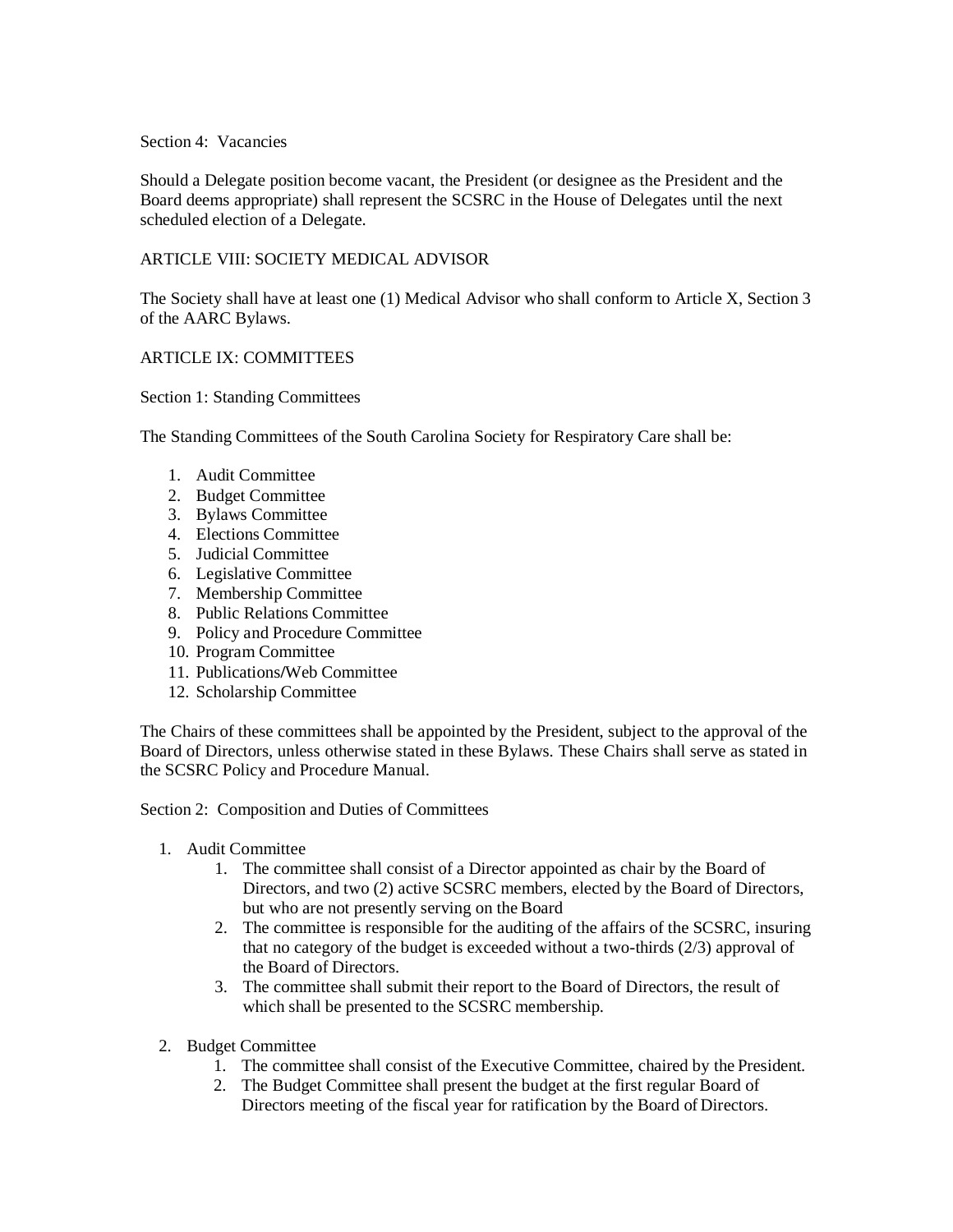### Section 4: Vacancies

Should a Delegate position become vacant, the President (or designee as the President and the Board deems appropriate) shall represent the SCSRC in the House of Delegates until the next scheduled election of a Delegate.

# ARTICLE VIII: SOCIETY MEDICAL ADVISOR

The Society shall have at least one (1) Medical Advisor who shall conform to Article X, Section 3 of the AARC Bylaws.

# ARTICLE IX: COMMITTEES

Section 1: Standing Committees

The Standing Committees of the South Carolina Society for Respiratory Care shall be:

- 1. Audit Committee
- 2. Budget Committee
- 3. Bylaws Committee
- 4. Elections Committee
- 5. Judicial Committee
- 6. Legislative Committee
- 7. Membership Committee
- 8. Public Relations Committee
- 9. Policy and Procedure Committee
- 10. Program Committee
- 11. Publications**/**Web Committee
- 12. Scholarship Committee

The Chairs of these committees shall be appointed by the President, subject to the approval of the Board of Directors, unless otherwise stated in these Bylaws. These Chairs shall serve as stated in the SCSRC Policy and Procedure Manual.

Section 2: Composition and Duties of Committees

- 1. Audit Committee
	- 1. The committee shall consist of a Director appointed as chair by the Board of Directors, and two (2) active SCSRC members, elected by the Board of Directors, but who are not presently serving on the Board
	- 2. The committee is responsible for the auditing of the affairs of the SCSRC, insuring that no category of the budget is exceeded without a two-thirds (2/3) approval of the Board of Directors.
	- 3. The committee shall submit their report to the Board of Directors, the result of which shall be presented to the SCSRC membership.
- 2. Budget Committee
	- 1. The committee shall consist of the Executive Committee, chaired by the President.
	- 2. The Budget Committee shall present the budget at the first regular Board of Directors meeting of the fiscal year for ratification by the Board of Directors.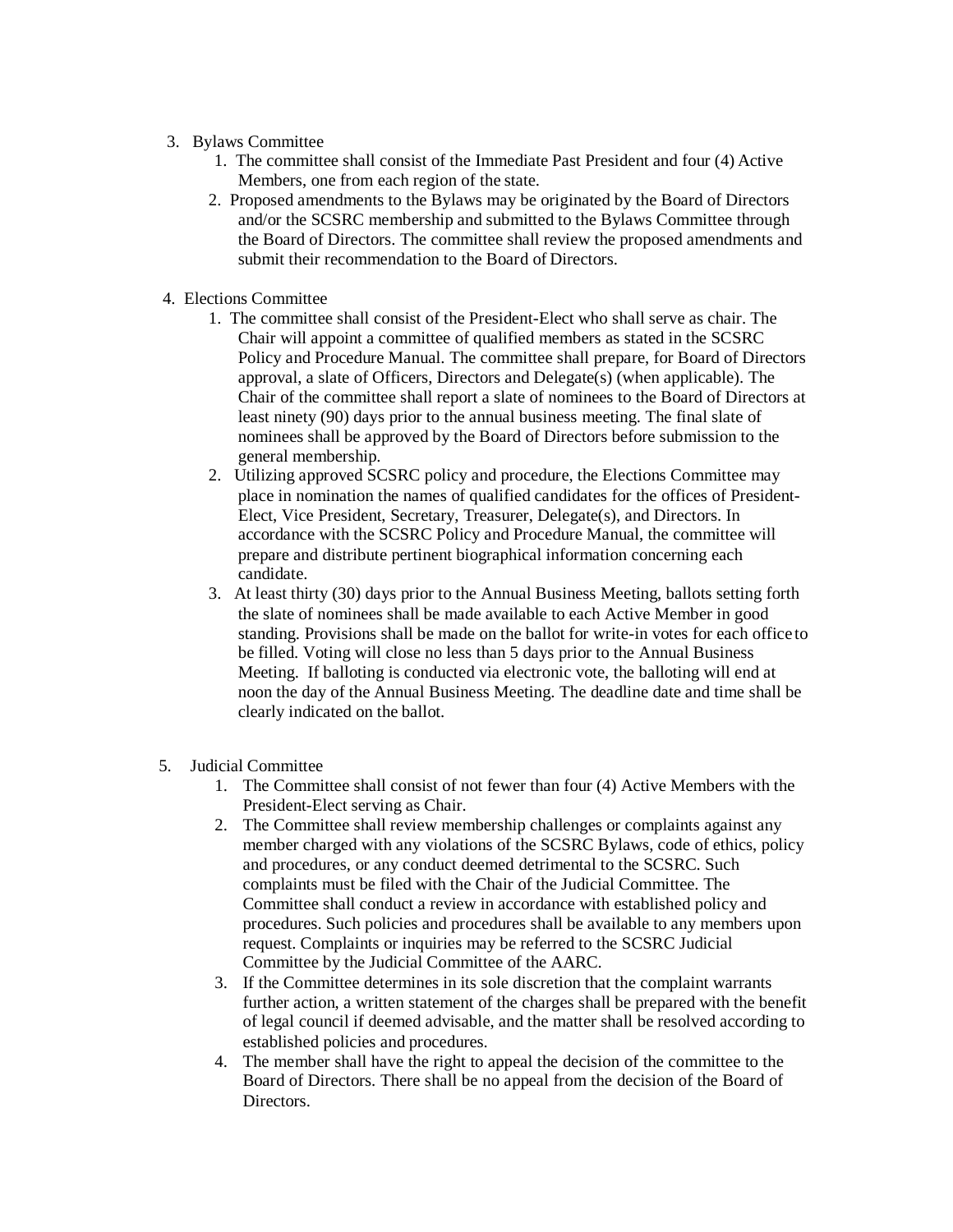# 3. Bylaws Committee

- 1. The committee shall consist of the Immediate Past President and four (4) Active Members, one from each region of the state.
- 2. Proposed amendments to the Bylaws may be originated by the Board of Directors and/or the SCSRC membership and submitted to the Bylaws Committee through the Board of Directors. The committee shall review the proposed amendments and submit their recommendation to the Board of Directors.
- 4. Elections Committee
	- 1. The committee shall consist of the President-Elect who shall serve as chair. The Chair will appoint a committee of qualified members as stated in the SCSRC Policy and Procedure Manual. The committee shall prepare, for Board of Directors approval, a slate of Officers, Directors and Delegate(s) (when applicable). The Chair of the committee shall report a slate of nominees to the Board of Directors at least ninety (90) days prior to the annual business meeting. The final slate of nominees shall be approved by the Board of Directors before submission to the general membership.
	- 2. Utilizing approved SCSRC policy and procedure, the Elections Committee may place in nomination the names of qualified candidates for the offices of President-Elect, Vice President, Secretary, Treasurer, Delegate(s), and Directors. In accordance with the SCSRC Policy and Procedure Manual, the committee will prepare and distribute pertinent biographical information concerning each candidate.
	- 3. At least thirty (30) days prior to the Annual Business Meeting, ballots setting forth the slate of nominees shall be made available to each Active Member in good standing. Provisions shall be made on the ballot for write-in votes for each office to be filled. Voting will close no less than 5 days prior to the Annual Business Meeting. If balloting is conducted via electronic vote, the balloting will end at noon the day of the Annual Business Meeting. The deadline date and time shall be clearly indicated on the ballot.
- 5. Judicial Committee
	- 1. The Committee shall consist of not fewer than four (4) Active Members with the President-Elect serving as Chair.
	- 2. The Committee shall review membership challenges or complaints against any member charged with any violations of the SCSRC Bylaws, code of ethics, policy and procedures, or any conduct deemed detrimental to the SCSRC. Such complaints must be filed with the Chair of the Judicial Committee. The Committee shall conduct a review in accordance with established policy and procedures. Such policies and procedures shall be available to any members upon request. Complaints or inquiries may be referred to the SCSRC Judicial Committee by the Judicial Committee of the AARC.
	- 3. If the Committee determines in its sole discretion that the complaint warrants further action, a written statement of the charges shall be prepared with the benefit of legal council if deemed advisable, and the matter shall be resolved according to established policies and procedures.
	- 4. The member shall have the right to appeal the decision of the committee to the Board of Directors. There shall be no appeal from the decision of the Board of Directors.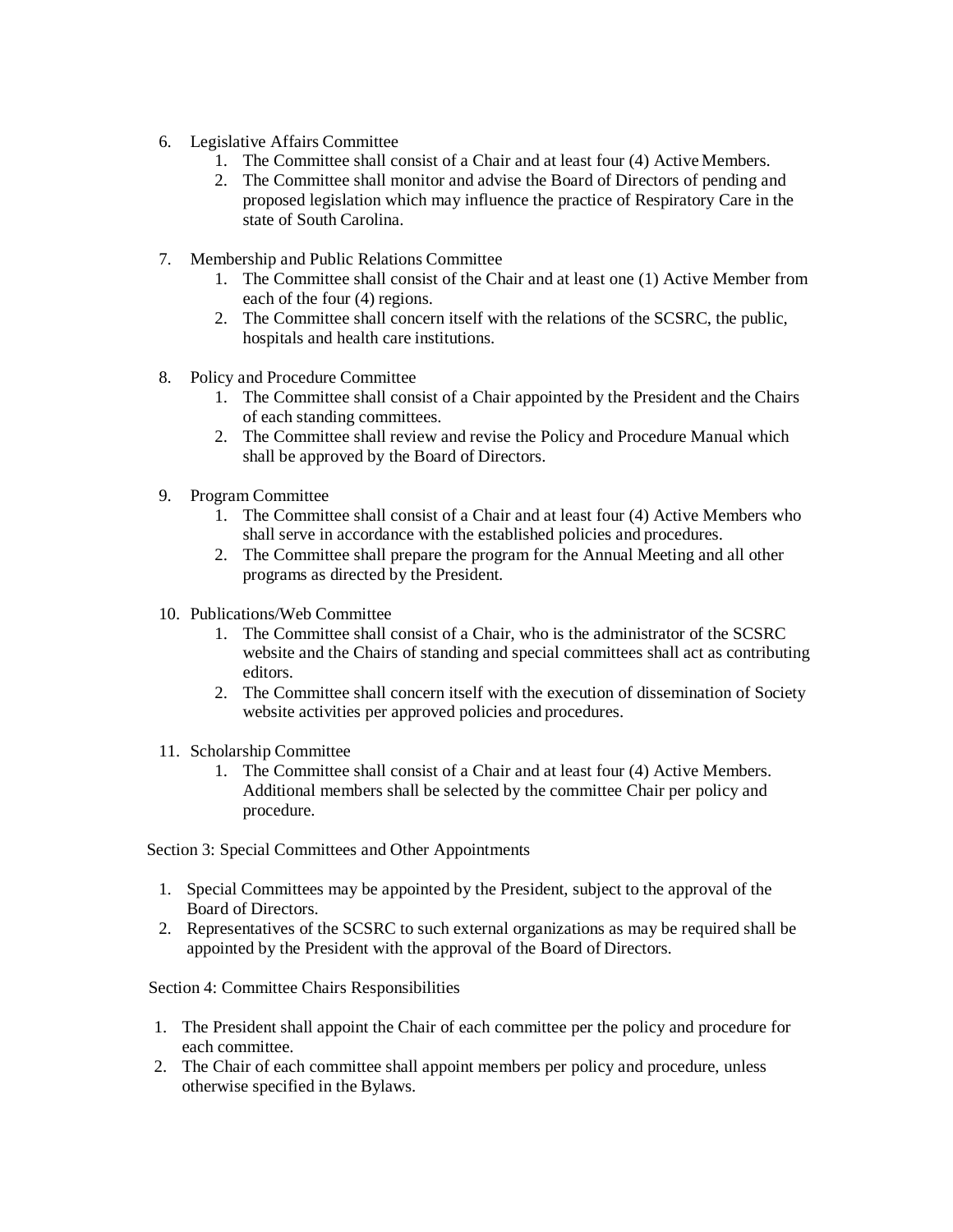- 6. Legislative Affairs Committee
	- 1. The Committee shall consist of a Chair and at least four (4) Active Members.
	- 2. The Committee shall monitor and advise the Board of Directors of pending and proposed legislation which may influence the practice of Respiratory Care in the state of South Carolina.
- 7. Membership and Public Relations Committee
	- 1. The Committee shall consist of the Chair and at least one (1) Active Member from each of the four (4) regions.
	- 2. The Committee shall concern itself with the relations of the SCSRC, the public, hospitals and health care institutions.
- 8. Policy and Procedure Committee
	- 1. The Committee shall consist of a Chair appointed by the President and the Chairs of each standing committees.
	- 2. The Committee shall review and revise the Policy and Procedure Manual which shall be approved by the Board of Directors.
- 9. Program Committee
	- 1. The Committee shall consist of a Chair and at least four (4) Active Members who shall serve in accordance with the established policies and procedures.
	- 2. The Committee shall prepare the program for the Annual Meeting and all other programs as directed by the President.
- 10. Publications/Web Committee
	- 1. The Committee shall consist of a Chair, who is the administrator of the SCSRC website and the Chairs of standing and special committees shall act as contributing editors.
	- 2. The Committee shall concern itself with the execution of dissemination of Society website activities per approved policies and procedures.
- 11. Scholarship Committee
	- 1. The Committee shall consist of a Chair and at least four (4) Active Members. Additional members shall be selected by the committee Chair per policy and procedure.

Section 3: Special Committees and Other Appointments

- 1. Special Committees may be appointed by the President, subject to the approval of the Board of Directors.
- 2. Representatives of the SCSRC to such external organizations as may be required shall be appointed by the President with the approval of the Board of Directors.

Section 4: Committee Chairs Responsibilities

- 1. The President shall appoint the Chair of each committee per the policy and procedure for each committee.
- 2. The Chair of each committee shall appoint members per policy and procedure, unless otherwise specified in the Bylaws.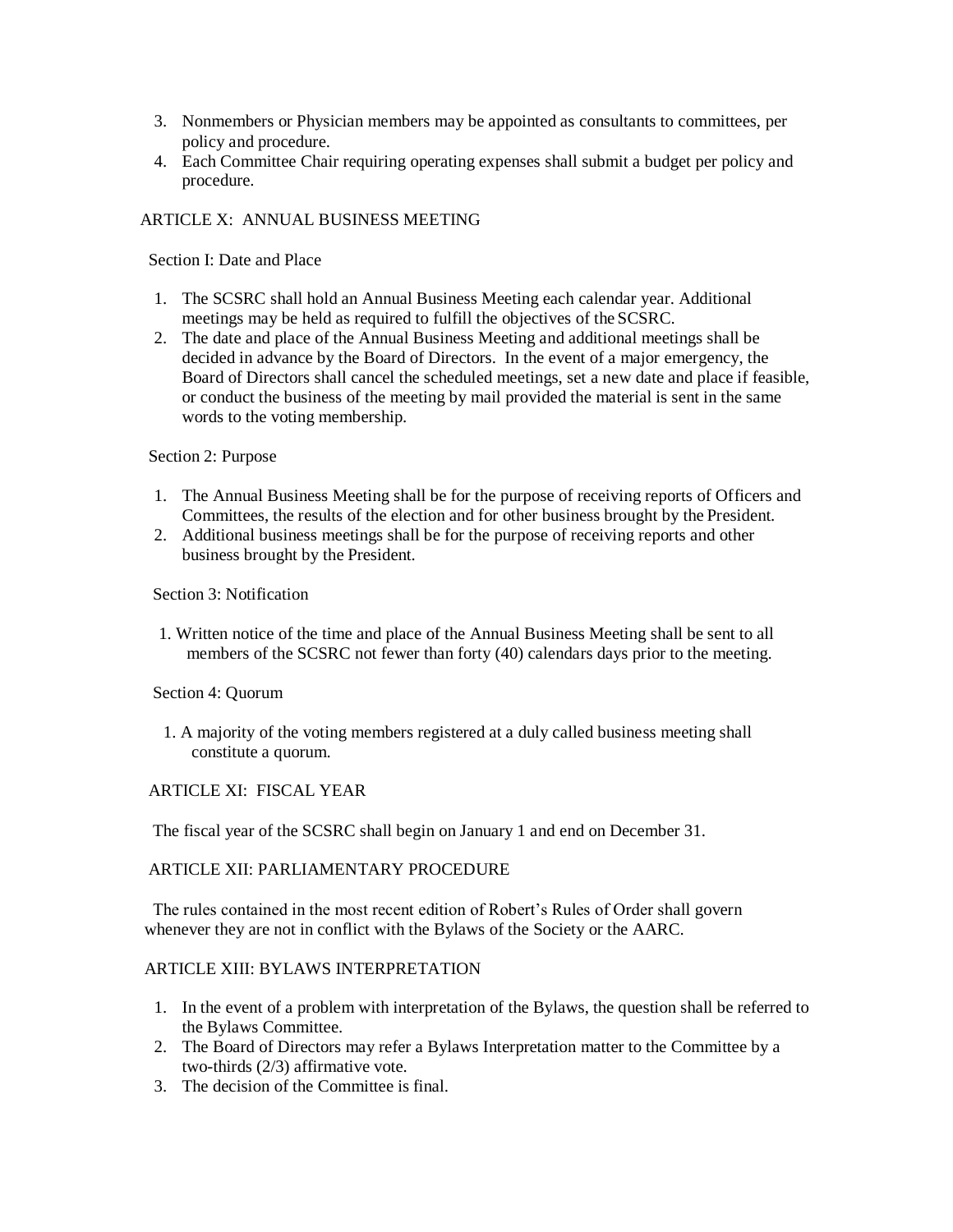- 3. Nonmembers or Physician members may be appointed as consultants to committees, per policy and procedure.
- 4. Each Committee Chair requiring operating expenses shall submit a budget per policy and procedure.

# ARTICLE X: ANNUAL BUSINESS MEETING

Section I: Date and Place

- 1. The SCSRC shall hold an Annual Business Meeting each calendar year. Additional meetings may be held as required to fulfill the objectives of the SCSRC.
- 2. The date and place of the Annual Business Meeting and additional meetings shall be decided in advance by the Board of Directors. In the event of a major emergency, the Board of Directors shall cancel the scheduled meetings, set a new date and place if feasible, or conduct the business of the meeting by mail provided the material is sent in the same words to the voting membership.

### Section 2: Purpose

- 1. The Annual Business Meeting shall be for the purpose of receiving reports of Officers and Committees, the results of the election and for other business brought by the President.
- 2. Additional business meetings shall be for the purpose of receiving reports and other business brought by the President.

### Section 3: Notification

1. Written notice of the time and place of the Annual Business Meeting shall be sent to all members of the SCSRC not fewer than forty (40) calendars days prior to the meeting.

Section 4: Quorum

1. A majority of the voting members registered at a duly called business meeting shall constitute a quorum.

# ARTICLE XI: FISCAL YEAR

The fiscal year of the SCSRC shall begin on January 1 and end on December 31.

# ARTICLE XII: PARLIAMENTARY PROCEDURE

The rules contained in the most recent edition of Robert's Rules of Order shall govern whenever they are not in conflict with the Bylaws of the Society or the AARC.

### ARTICLE XIII: BYLAWS INTERPRETATION

- 1. In the event of a problem with interpretation of the Bylaws, the question shall be referred to the Bylaws Committee.
- 2. The Board of Directors may refer a Bylaws Interpretation matter to the Committee by a two-thirds (2/3) affirmative vote.
- 3. The decision of the Committee is final.